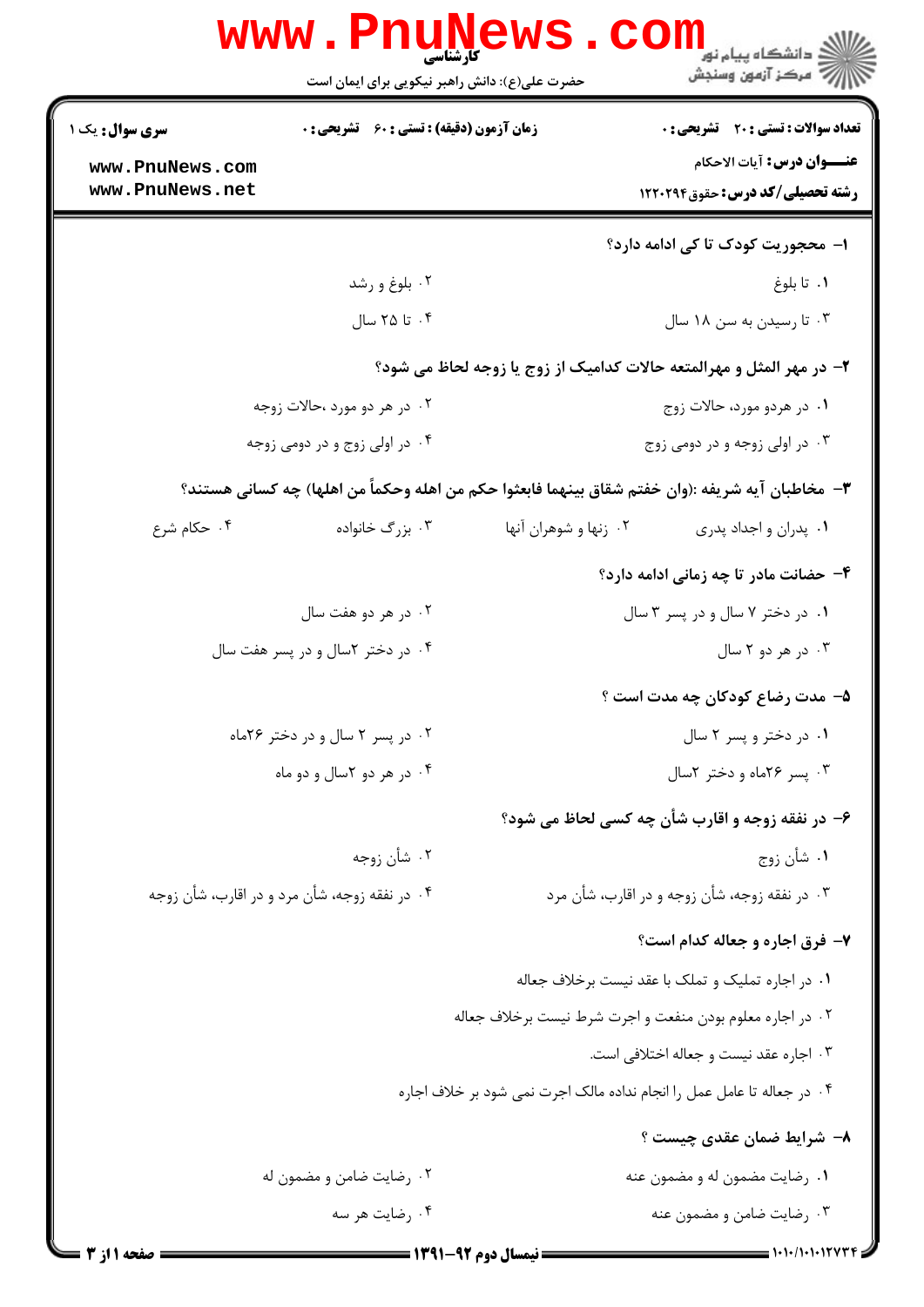|                                    | <b>www.PnuNews</b><br>کارشتاسی<br>حضرت علی(ع): دانش راهبر نیکویی برای ایمان است | د<br>دانشگاه پيام نو <mark>ر</mark><br>ر آ مرڪز آزمون وسنڊش                                      |  |
|------------------------------------|---------------------------------------------------------------------------------|--------------------------------------------------------------------------------------------------|--|
| سری سوال: یک ۱                     | <b>زمان آزمون (دقیقه) : تستی : 60 ٪ تشریحی : 0</b>                              | تعداد سوالات : تستى : 20 - تشريحي : 0                                                            |  |
| www.PnuNews.com<br>www.PnuNews.net |                                                                                 | <b>عنـــوان درس:</b> آيات الاحكام<br><b>رشته تحصیلی/کد درس:</b> حقوق122021                       |  |
|                                    |                                                                                 | ا–  محجوریت کودک تا کی ادامه دارد؟                                                               |  |
|                                    | ۰۲ بلوغ و رشد                                                                   | ۰۱ تا بلوغ                                                                                       |  |
|                                    | ۰۴ تا ۲۵ سال                                                                    | ۰۳ تا رسیدن به سن ۱۸ سال                                                                         |  |
|                                    |                                                                                 | ۲- در مهر المثل و مهرالمتعه حالات کدامیک از زوج یا زوجه لحاظ می شود؟                             |  |
|                                    | ۰۲ در هر دو مورد ،حالات زوجه                                                    | ۰۱ در هردو مورد، حالات زوج                                                                       |  |
| ۰۴ در اولی زوج و در دومی زوجه      |                                                                                 | ۰۳ در اولی زوجه و در دومی زوج                                                                    |  |
|                                    |                                                                                 | ٣- مخاطبان آيه شريفه :(وان خفتم شقاق بينهما فابعثوا حكم من اهله وحكماً من اهلها) چه كساني هستند؟ |  |
| ۰۴ حکام شرع                        | ۰۳ بزرگ خانواده                                                                 | ۰۲ زنها و شوهران آنها<br>۰۱ پدران و اجداد پدری                                                   |  |
|                                    |                                                                                 | ۴- حضانت مادر تا چه زمانی ادامه دارد؟                                                            |  |
| ۰۲ در هر دو هفت سال                |                                                                                 | ۰۱ در دختر ۷ سال و در پسر ۳ سال                                                                  |  |
| ۰۴ در دختر ۲سال و در پسر هفت سال   |                                                                                 | ۰۳ در هر دو ۲ سال                                                                                |  |
|                                    |                                                                                 | ۵– مدت رضاع کودکان چه مدت است ؟                                                                  |  |
|                                    | ۰۲ در پسر ۲ سال و در دختر ۲۶ماه                                                 | ۰۱ در دختر و پسر ۲ سال                                                                           |  |
|                                    | ۰۴ در هر دو ۲سال و دو ماه                                                       | ۰۳ پسر ۲۶ماه و دختر ۲سال                                                                         |  |
|                                    |                                                                                 | ۶- در نفقه زوجه و اقارب شأن چه کسی لحاظ می شود؟                                                  |  |
|                                    | ۰۲ شأن زوجه                                                                     | ۰۱ شأن زوج                                                                                       |  |
|                                    | ۰۴ در نفقه زوجه، شأن مرد و در اقارب، شأن زوجه                                   | ۰۳ در نفقه زوجه، شأن زوجه و در اقارب، شأن مرد                                                    |  |
|                                    |                                                                                 | ۷- فرق اجاره و جعاله کدام است؟                                                                   |  |
|                                    |                                                                                 | ۰۱ در اجاره تملیک و تملک با عقد نیست برخلاف جعاله                                                |  |
|                                    |                                                                                 | ۰۲ در اجاره معلوم بودن منفعت و اجرت شرط نیست برخلاف جعاله                                        |  |
|                                    |                                                                                 | ۰۳ اجاره عقد نیست و جعاله اختلافی است.                                                           |  |
|                                    |                                                                                 | ۰۴ در جعاله تا عامل عمل را انجام نداده مالک اجرت نمی شود بر خلاف اجاره                           |  |
|                                    |                                                                                 | ۸– شرایط ضمان عقدی چیست ؟                                                                        |  |
|                                    | ۰۲ رضایت ضامن و مضمون له                                                        | ۰۱ رضایت مضمون له و مضمون عنه                                                                    |  |
|                                    | ۰۴ رضایت هر سه                                                                  | ۰۳ رضایت ضامن و مضمون عنه                                                                        |  |
|                                    |                                                                                 |                                                                                                  |  |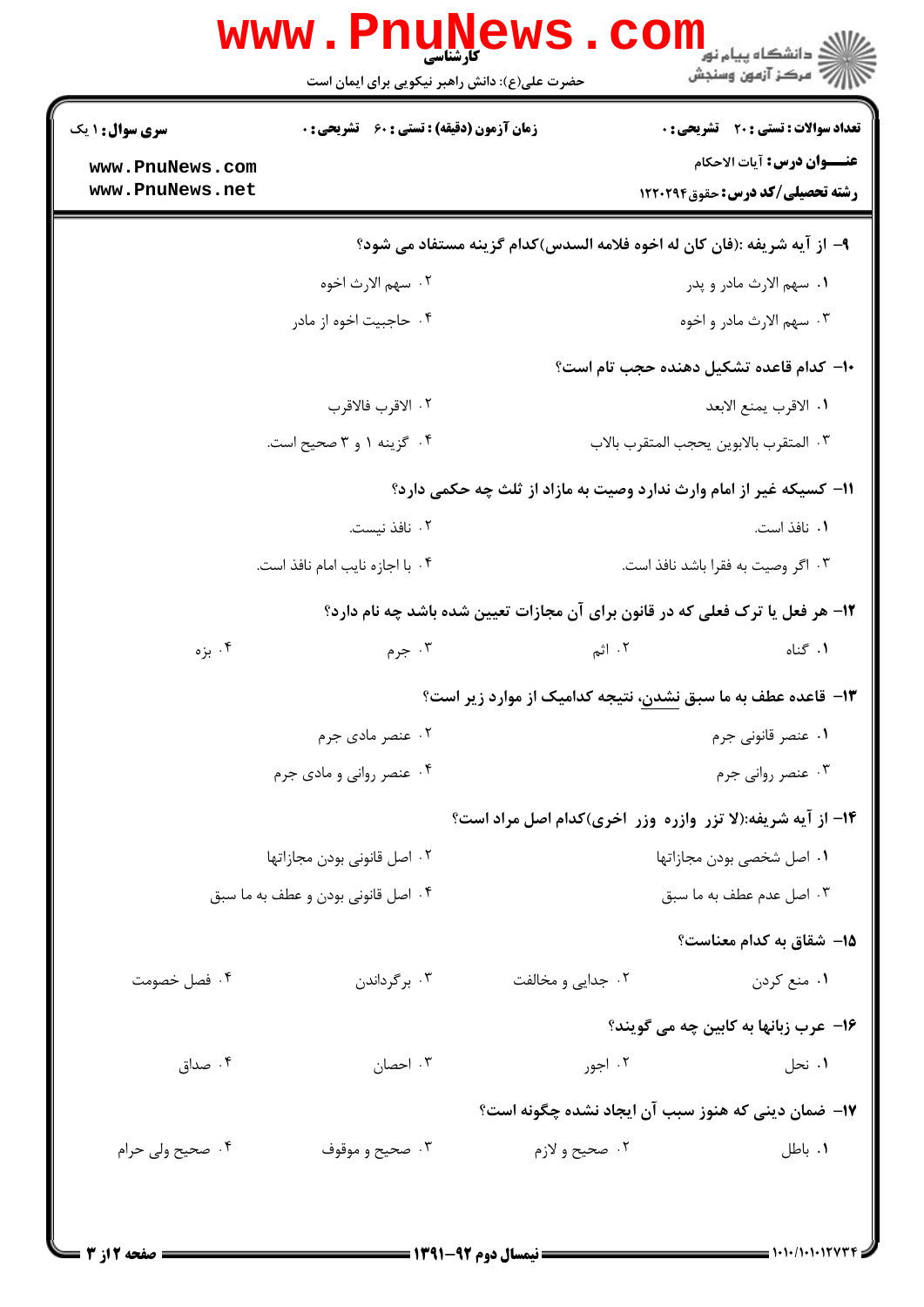|                                    | www.PnuNews<br>حضرت علی(ع): دانش راهبر نیکویی برای ایمان است | com                                                                                   | د<br>د انشگاه پيام نور<br>أأز " مرڪز آزمون وسنڊش                                  |  |
|------------------------------------|--------------------------------------------------------------|---------------------------------------------------------------------------------------|-----------------------------------------------------------------------------------|--|
| <b>سری سوال : ۱ یک</b>             | <b>زمان آزمون (دقیقه) : تستی : 60 ٪ تشریحی : 0</b>           |                                                                                       | <b>تعداد سوالات : تستی : 20 ٪ تشریحی : 0</b><br><b>عنـــوان درس:</b> آيات الاحكام |  |
| www.PnuNews.com<br>www.PnuNews.net |                                                              |                                                                                       | <b>رشته تحصیلی/کد درس: حقوق120031</b>                                             |  |
|                                    |                                                              | ۹- از آيه شريفه :(فان كان له اخوه فلامه السدس)كدام گزينه مستفاد مي شود؟               |                                                                                   |  |
| ٢٠ سهم الارث اخوه                  |                                                              |                                                                                       | ۰۱ سهم الارث مادر و پدر                                                           |  |
|                                    | ۰۴ حاجبیت اخوه از مادر                                       |                                                                                       | ۰۳ سهم الارث مادر و اخوه                                                          |  |
|                                    |                                                              |                                                                                       | ۱۰– کدام قاعده تشکیل دهنده حجب تام است؟                                           |  |
| ٢. الاقرب فالاقرب                  |                                                              | ٠١. الاقرب يمنع الابعد                                                                |                                                                                   |  |
|                                    | ۰۴ گزینه ۱ و ۳ صحیح است.                                     |                                                                                       | ٠٣ المتقرب بالابوين يحجب المتقرب بالاب                                            |  |
|                                    |                                                              | 11- کسیکه غیر از امام وارث ندارد وصیت به مازاد از ثلث چه حکمی دارد؟                   |                                                                                   |  |
|                                    | ٠٢ نافذ نيست.                                                |                                                                                       | ٠١. نافذ است.                                                                     |  |
|                                    | ۰۴ با اجازه نایب امام نافذ است.                              |                                                                                       | ۰۳ اگر وصیت به فقرا باشد نافذ است.                                                |  |
|                                    |                                                              | <b>۱۲</b> - هر فعل یا ترک فعلی که در قانون برای آن مجازات تعیین شده باشد چه نام دارد؟ |                                                                                   |  |
| ۰۴ بزه                             | ۰۳ جرم                                                       | ۲. اثم                                                                                | ۰۱ گناه                                                                           |  |
|                                    |                                                              | ۱۳- قاعده عطف به ما سبق نشدن، نتیجه کدامیک از موارد زیر است؟                          |                                                                                   |  |
|                                    | ۰۲ عنصر مادی جرم                                             | ۰۱ عنصر قانونی جرم                                                                    |                                                                                   |  |
| ۰۴ عنصر روانی و مادی جرم           |                                                              |                                                                                       | ۰۳ عنصر روانی جرم                                                                 |  |
|                                    |                                                              | ۱۴- از آیه شریفه:(لا تزر وازره وزر اخری)کدام اصل مراد است؟                            |                                                                                   |  |
|                                    | ۰۲ اصل قانونی بودن مجازاتها                                  | ٠١ اصل شخصي بودن مجازاتها                                                             |                                                                                   |  |
| ۰۴ اصل قانونی بودن و عطف به ما سبق |                                                              | ۰۳ اصل عدم عطف به ما سبق                                                              |                                                                                   |  |
|                                    |                                                              |                                                                                       | 1۵– شقاق به کدام معناست؟                                                          |  |
| ۰۴ فصل خصومت                       | ۰۳ برگرداندن                                                 | ۰۲ جدایی و مخالفت                                                                     | ۰۱ منع کردن                                                                       |  |
|                                    |                                                              |                                                                                       | ۱۶– عرب زبانها به کابین چه می گویند؟                                              |  |
| ۰۴ صداق                            | ۰۳ احصان                                                     | ۰۲ اجور                                                                               | ۰۱ نحل                                                                            |  |
|                                    |                                                              | ۱۷– ضمان دینی که هنوز سبب آن ایجاد نشده چگونه است؟                                    |                                                                                   |  |
| ۰۴ صحیح ولی حرام                   | ۰۳ صحيح و موقوف                                              | ۰۲ صحيح و لازم                                                                        | ۰۱ باطل                                                                           |  |